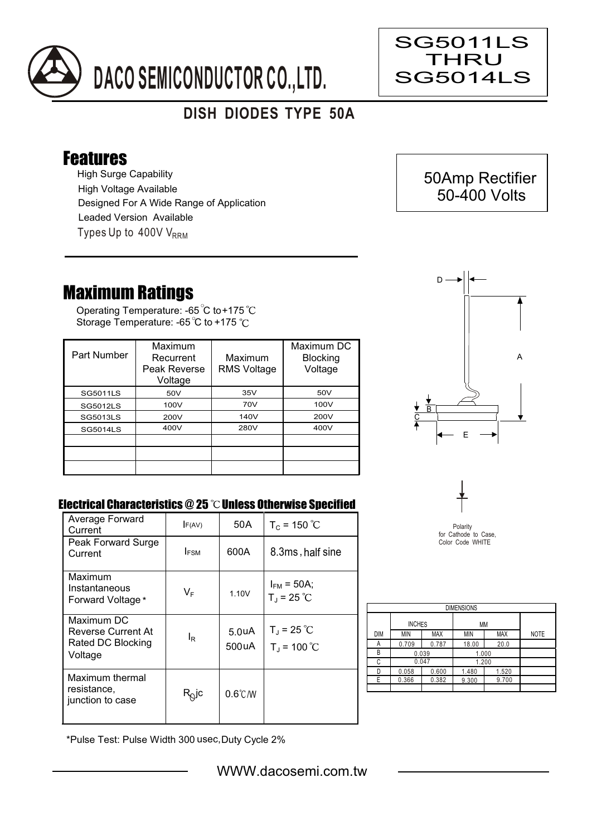

## **DISH DIODES TYPE 50A**

## Features

High Surge Capability Types Up to  $400V$  V<sub>RRM</sub> High Voltage Available Designed For A Wide Range of Application Leaded Version Available

## Maximum Ratings

Operating Temperature: -65 C to +175 Storage Temperature: -65 °C to +175 °C

| Part Number     | Maximum<br>Recurrent<br>Peak Reverse<br>Voltage | Maximum<br><b>RMS Voltage</b> | Maximum DC<br><b>Blocking</b><br>Voltage |
|-----------------|-------------------------------------------------|-------------------------------|------------------------------------------|
| <b>SG5011LS</b> | 50V                                             | 35V                           | 50V                                      |
| <b>SG5012LS</b> | 100V                                            | 70V                           | 100V                                     |
| <b>SG5013LS</b> | 200V                                            | 140V                          | 200V                                     |
| <b>SG5014LS</b> | 400V                                            | 280V                          | 400V                                     |
|                 |                                                 |                               |                                          |
|                 |                                                 |                               |                                          |
|                 |                                                 |                               |                                          |



## Electrical Characteristics  $@25$   $^{\circ}\text{C}$  Unless Otherwise Specified

| Average Forward<br>Current                                       | F(AV)            | 50 A                        | $T_c = 150 °C$                          |
|------------------------------------------------------------------|------------------|-----------------------------|-----------------------------------------|
| Peak Forward Surge<br>Current                                    | <b>IFSM</b>      | 600A                        | 8.3ms, half sine                        |
| Maximum<br>Instantaneous<br>Forward Voltage*                     | $V_{\mathsf{F}}$ | 1.10V                       | $I_{FM}$ = 50A;<br>$T_{J}$ = 25 °C      |
| Maximum DC<br>Reverse Current At<br>Rated DC Blocking<br>Voltage | le               | 5.0 <sub>u</sub> A<br>500uA | $T_{\rm J}$ = 25 °C<br>$T_{J}$ = 100 °C |
| Maximum thermal<br>resistance.<br>junction to case               | $R_Q$ jc         | $0.6^{\circ}$ C/W           |                                         |



| <b>DIMENSIONS</b> |               |            |            |            |             |  |  |  |  |
|-------------------|---------------|------------|------------|------------|-------------|--|--|--|--|
|                   | <b>INCHES</b> |            | МM         |            |             |  |  |  |  |
| <b>DIM</b>        | MIN           | <b>MAX</b> | <b>MIN</b> | <b>MAX</b> | <b>NOTE</b> |  |  |  |  |
| А                 | 0.709         | 0.787      | 18.00      | 20.0       |             |  |  |  |  |
| В                 | 0.039         |            | 1.000      |            |             |  |  |  |  |
| C                 | 0.047         |            | 1.200      |            |             |  |  |  |  |
| D                 | 0.058         | 0.600      | 1.480      | 1.520      |             |  |  |  |  |
| F                 | 0.366         | 0.382      | 9.300      | 9.700      |             |  |  |  |  |
|                   |               |            |            |            |             |  |  |  |  |

\*Pulse Test: Pulse Width 300 usec,Duty Cycle 2%



SG5011LS THRU SG5014LS

Ξ